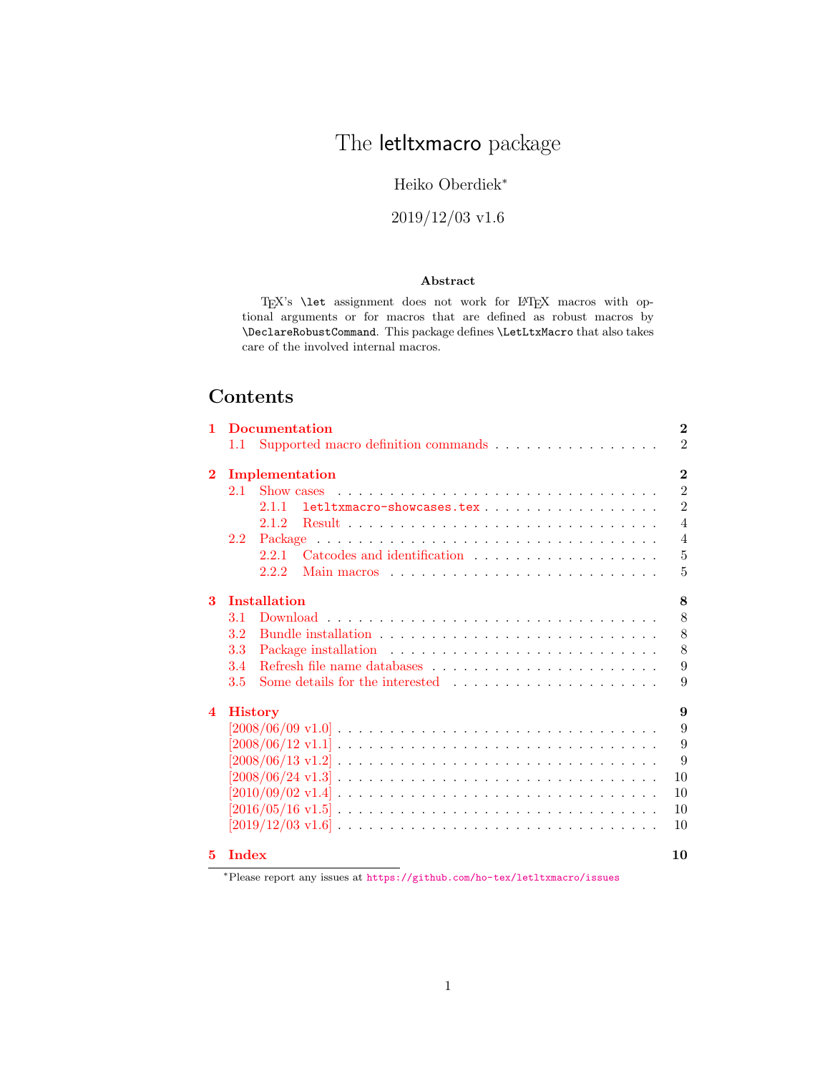# The letltxmacro package

# Heiko Oberdiek<sup>∗</sup>

# 2019/12/03 v1.6

### Abstract

TEX's **\let** assignment does not work for LATEX macros with optional arguments or for macros that are defined as robust macros by \DeclareRobustCommand. This package defines \LetLtxMacro that also takes care of the involved internal macros.

# Contents

| 1                       |               | <b>Documentation</b>                                                                                                                                                                                                                   | $\bf{2}$       |
|-------------------------|---------------|----------------------------------------------------------------------------------------------------------------------------------------------------------------------------------------------------------------------------------------|----------------|
|                         | 1.1           | Supported macro definition commands                                                                                                                                                                                                    | $\overline{2}$ |
| $\bf{2}$                |               | Implementation                                                                                                                                                                                                                         | $\bf{2}$       |
|                         | 2.1           | Show cases                                                                                                                                                                                                                             | $\overline{2}$ |
|                         |               | letltxmacro-showcases.tex<br>2.11                                                                                                                                                                                                      | $\overline{2}$ |
|                         |               | 2.1.2                                                                                                                                                                                                                                  | $\overline{4}$ |
|                         | $2.2^{\circ}$ |                                                                                                                                                                                                                                        | $\overline{4}$ |
|                         |               | Catcodes and identification $\ldots$ , $\ldots$ , $\ldots$<br>2.2.1                                                                                                                                                                    | $\overline{5}$ |
|                         |               | 2.2.2<br>Main macros experience in the contract of the material state in the material state of the material state in the material state of the material state of the material state of the material state of the material state of the | 5              |
| 3                       |               | <b>Installation</b>                                                                                                                                                                                                                    | 8              |
|                         | 3.1           |                                                                                                                                                                                                                                        | 8              |
|                         | 3.2           |                                                                                                                                                                                                                                        | 8              |
|                         | 3.3           |                                                                                                                                                                                                                                        | 8              |
|                         | 3.4           |                                                                                                                                                                                                                                        | 9              |
|                         | 3.5           | Some details for the interested                                                                                                                                                                                                        | 9              |
| $\overline{\mathbf{4}}$ |               | <b>History</b>                                                                                                                                                                                                                         | 9              |
|                         |               | $[2008/06/09 \text{ v}1.0] \ldots \ldots \ldots \ldots \ldots \ldots \ldots \ldots \ldots \ldots \ldots \ldots$                                                                                                                        | 9              |
|                         |               |                                                                                                                                                                                                                                        | 9              |
|                         |               |                                                                                                                                                                                                                                        | 9              |
|                         |               |                                                                                                                                                                                                                                        | 10             |
|                         |               |                                                                                                                                                                                                                                        | 10             |
|                         |               |                                                                                                                                                                                                                                        | 10             |
|                         |               | $[2019/12/03 \text{ v}1.6] \ldots \ldots \ldots \ldots \ldots \ldots \ldots \ldots \ldots \ldots \ldots$                                                                                                                               | 10             |
| 5.                      | <b>Index</b>  |                                                                                                                                                                                                                                        | 10             |

<sup>∗</sup>Please report any issues at <https://github.com/ho-tex/letltxmacro/issues>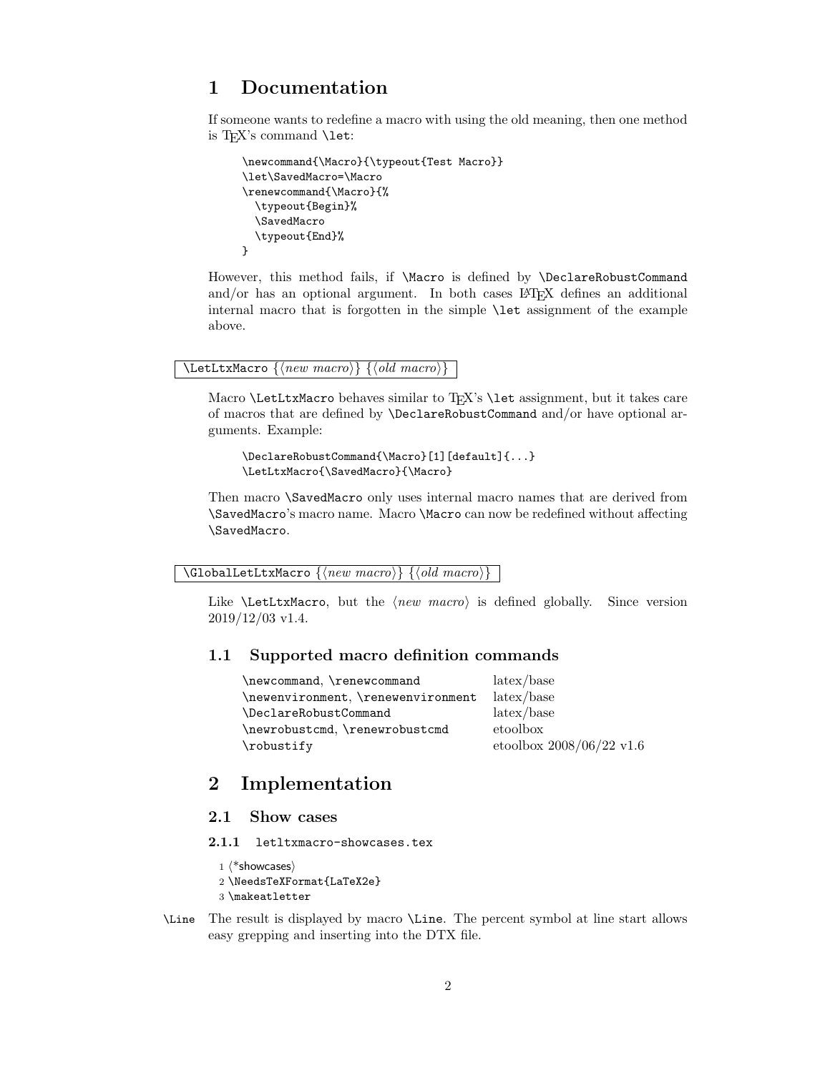# <span id="page-1-0"></span>1 Documentation

If someone wants to redefine a macro with using the old meaning, then one method is T<sub>F</sub>X's command **\let:** 

```
\newcommand{\Macro}{\typeout{Test Macro}}
\let\SavedMacro=\Macro
\renewcommand{\Macro}{%
  \typeout{Begin}%
  \SavedMacro
  \typeout{End}%
}
```
However, this method fails, if \Macro is defined by \DeclareRobustCommand and/or has an optional argument. In both cases IATEX defines an additional internal macro that is forgotten in the simple \let assignment of the example above.

#### <span id="page-1-6"></span> $\text{NetLtxMacco } \{ \langle new~macro \rangle \} \{ \langle old~macro \rangle \}$

Macro \LetLtxMacro behaves similar to TEX's \let assignment, but it takes care of macros that are defined by \DeclareRobustCommand and/or have optional arguments. Example:

```
\DeclareRobustCommand{\Macro}[1][default]{...}
\LetLtxMacro{\SavedMacro}{\Macro}
```
Then macro \SavedMacro only uses internal macro names that are derived from \SavedMacro's macro name. Macro \Macro can now be redefined without affecting \SavedMacro.

<span id="page-1-5"></span> $\G$ lobalLetLtxMacro  $\{\langle new~macro\rangle\}~ \{\langle old~macro\rangle\}$ 

Like  $\text{LetLtxMacco},$  but the  $\langle new~macro\rangle$  is defined globally. Since version 2019/12/03 v1.4.

# <span id="page-1-1"></span>1.1 Supported macro definition commands

| \newcommand, \renewcommand         | $\lambda$ latex/base          |
|------------------------------------|-------------------------------|
| \newenvironment, \renewenvironment | $\lambda$ latex/base          |
| \DeclareRobustCommand              | $\frac{1}{\text{atex}}$ /base |
| \newrobustcmd, \renewrobustcmd     | etoolbox                      |
| \robustify                         | etoolbox $2008/06/22$ v1.6    |

# <span id="page-1-2"></span>2 Implementation

### <span id="page-1-3"></span>2.1 Show cases

<span id="page-1-4"></span>2.1.1 letltxmacro-showcases.tex

```
1 \langle*showcases\rangle2 \NeedsTeXFormat{LaTeX2e}
3 \makeatletter
```
<span id="page-1-7"></span>\Line The result is displayed by macro \Line. The percent symbol at line start allows easy grepping and inserting into the DTX file.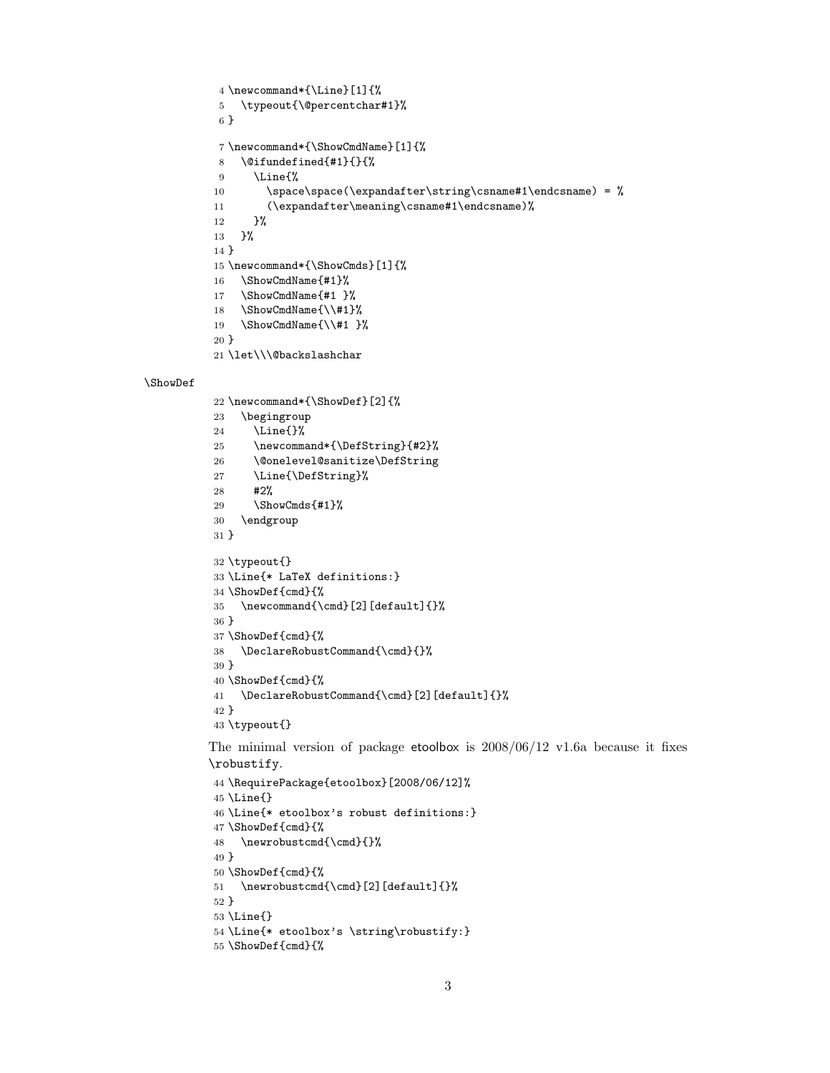```
4 \newcommand*{\Line}[1]{%
5 \typeout{\@percentchar#1}%
6 }
7 \newcommand*{\ShowCmdName}[1]{%
8 \@ifundefined{#1}{}{%
9 \Line{%
10 \space\space(\expandafter\string\csname#1\endcsname) = \%11 (\expandafter\meaning\csname#1\endcsname)%
12 }%
13 }%
14 }
15 \newcommand*{\ShowCmds}[1]{%
16 \ShowCmdName{#1}%
17 \ShowCmdName{#1 }%
18 \ShowCmdName{\\#1}%
19 \ShowCmdName{\\#1 }%
20 }
21 \let\\\@backslashchar
22 \newcommand*{\ShowDef}[2]{%
23 \begingroup
```

```
24 \Line{}%
25 \newcommand*{\DefString}{#2}%
26 \@onelevel@sanitize\DefString
27 \Line{\DefString}%
28 #2%
29 \ShowCmds{#1}%
30 \endgroup
31 }
32 \typeout{}
33 \Line{* LaTeX definitions:}
34 \ShowDef{cmd}{%
35 \newcommand{\cmd}[2][default]{}%
36 }
37 \ShowDef{cmd}{%
38 \DeclareRobustCommand{\cmd}{}%
39 }
40 \ShowDef{cmd}{%
41 \DeclareRobustCommand{\cmd}[2][default]{}%
42 }
43 \typeout{}
```
<span id="page-2-30"></span><span id="page-2-28"></span><span id="page-2-27"></span><span id="page-2-24"></span><span id="page-2-5"></span><span id="page-2-4"></span><span id="page-2-0"></span>\ShowDef

<span id="page-2-38"></span><span id="page-2-33"></span><span id="page-2-32"></span><span id="page-2-31"></span><span id="page-2-8"></span><span id="page-2-7"></span><span id="page-2-6"></span>The minimal version of package etoolbox is  $2008/06/12$  v1.6a because it fixes \robustify.

```
44 \RequirePackage{etoolbox}[2008/06/12]%
45 \Line{}
46 \Line{* etoolbox's robust definitions:}
47 \ShowDef{cmd}{%
48 \newrobustcmd{\cmd}{}%
49 }
50 \ShowDef{cmd}{%
51 \newrobustcmd{\cmd}[2][default]{}%
52 }
53 \Line{}
54 \Line{* etoolbox's \string\robustify:}
55 \ShowDef{cmd}{%
```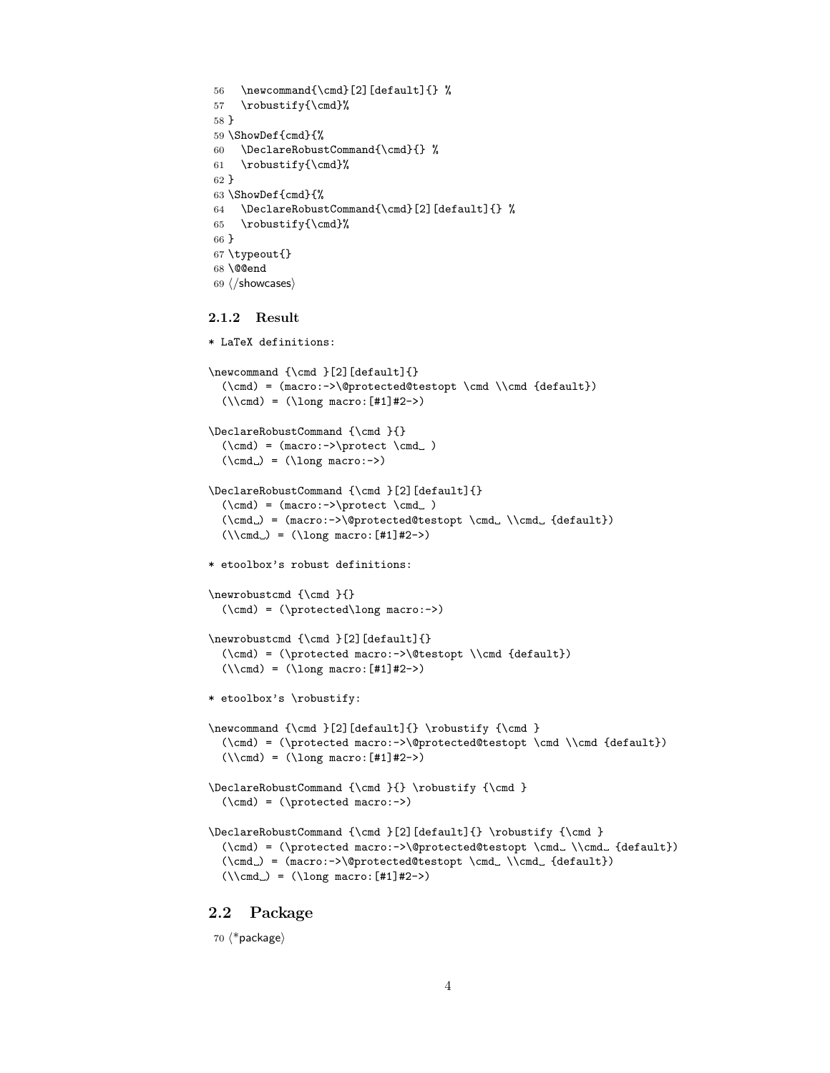```
56 \newcommand{\cal{C}[2][default]\} %
57 \robustify{\cmd}%
58 }
59 \ShowDef{cmd}{%
60 \DeclareRobustCommand{\cmd}{} %
61 \robustify{\cmd}%
62 }
63 \ShowDef{cmd}{%
64 \DeclareRobustCommand{\cmd}[2][default]{} %
65 \robustify{\cmd}%
66 }
67 \typeout{}
68 \@@end
69 \langle/showcases\rangle
```
#### <span id="page-3-11"></span><span id="page-3-8"></span><span id="page-3-7"></span><span id="page-3-2"></span><span id="page-3-0"></span>2.1.2 Result

```
* LaTeX definitions:
\newcommand {\cm}{m} {\label{thm} }[2][default]{}
  (\cmd) = (macro:->\@protected@testopt \cmd \\cmd {default})
  (\lambda) = (\lambda) = (\lambda)\DeclareRobustCommand {\cmd }{}
  (\c{md}) = (macro: -\t{protect} \c{md} )(\text{cmd}) = (\text{long macro:->})\DeclareRobustCommand {\cmd }[2][default]{}
  (\verb+\cmd+)= (\verb+macro:->\verb+\protect \verb+\cmd+ \verb+\;)(\mathrm{mod}_\ = \mathrm{macro:->}\@protected@testopt \ \cmd\_\\cmd_ {default})(\lambda) = (\lambda \cdot f \cdot f \cdot f) = (\lambda \cdot f \cdot f)* etoolbox's robust definitions:
\newrobustcmd {\cmd }{}
  (\cmd) = (\protected\long macro:->)
\newrobustcmd {\cmd }[2][default]{}
  (\cmd) = (\protect\operatorname{macro:->\@testopt \backslash\cmd} \default))(\lambda) = (\lambda) = (\lambda) \text{ macro: } [#1] #2->)* etoolbox's \robustify:
\newcommand {\cal} [2][default]{\} \robustify {\cal}(\cmd) = (\protected macro:->\@protected@testopt \cmd \\cmd {default})
  (\lambda) = (\lambda) = (\lambda) \cdot [#1]#2->)
\DeclareRobustCommand {\cmd }{} \robustify {\cmd }
  (\cmd) = (\protected macro:->)
\DeclareRobustCommand {\cmd }[2][default]{} \robustify {\cmd }
  (\mathrm{C}) = (\mathrm{A max} - \@protected@testopt \cm. \mathrm{default}})(\cmd.) = (macro:->@protected@testopt \cmd. \Cmd. {default})(\lambda) = (\lambda) = (\lambda) \text{ macro: } [#1] #2->)
```
## <span id="page-3-1"></span>2.2 Package

70  $\langle$ \*package $\rangle$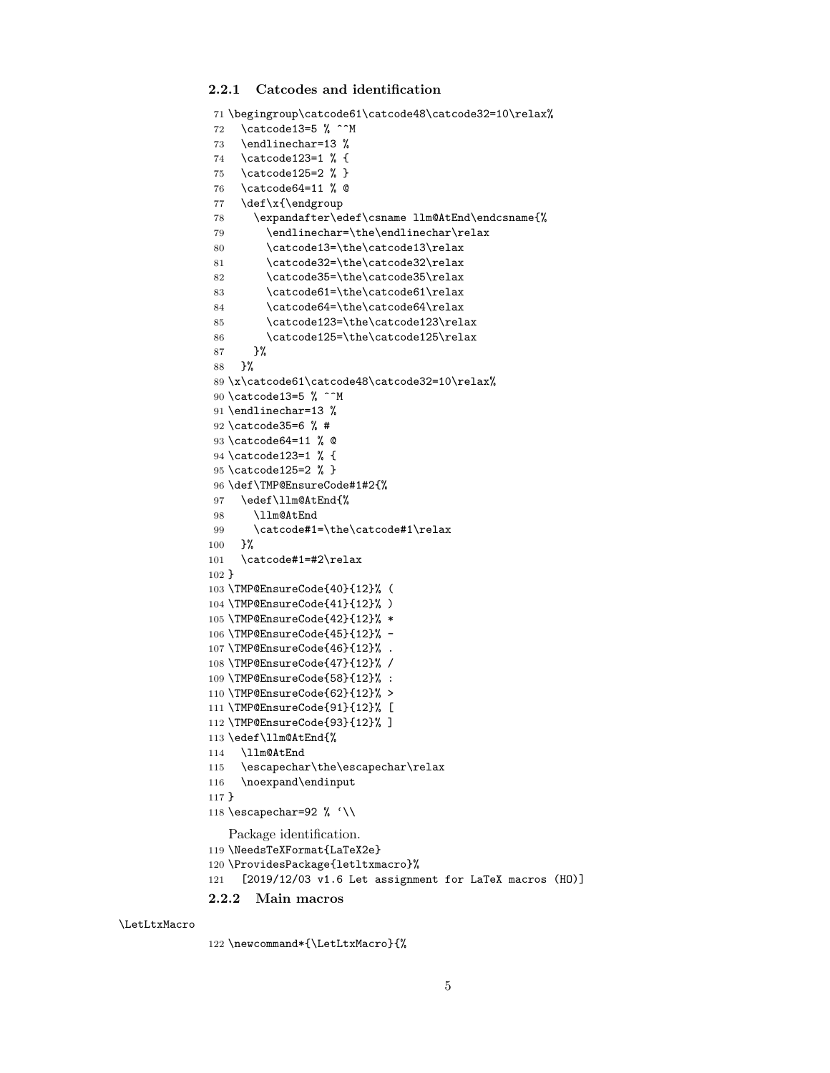### <span id="page-4-0"></span>2.2.1 Catcodes and identification

```
71 \begingroup\catcode61\catcode48\catcode32=10\relax%
72 \catcode13=5 % ^^M
73 \endlinechar=13 %
74 \catcode123=1 % {
75 \catcode125=2 % }
76 \catcode64=11 % @
77 \def\x{\endgroup
78 \expandafter\edef\csname llm@AtEnd\endcsname{%
79 \endlinechar=\the\endlinechar\relax
80 \catcode13=\the\catcode13\relax
81 \catcode32=\the\catcode32\relax
82 \catcode35=\the\catcode35\relax
83 \catcode61=\the\catcode61\relax
84 \catcode64=\the\catcode64\relax
85 \catcode123=\the\catcode123\relax
86 \catcode125=\the\catcode125\relax
87 }%
88 }%
89 \x\catcode61\catcode48\catcode32=10\relax%
90 \catcode13=5 % ^^M
91 \endlinechar=13 %
92 \catcode35=6 % #
93 \catcode64=11 % @
94 \catcode123=1 % {
95 \catcode125=2 % }
96 \def\TMP@EnsureCode#1#2{%
97 \edef\llm@AtEnd{%
98 \llm@AtEnd
99 \catcode#1=\the\catcode#1\relax
100 }%
101 \catcode#1=#2\relax
102 }
103 \TMP@EnsureCode{40}{12}% (
104 \TMP@EnsureCode{41}{12}% )
105 \TMP@EnsureCode{42}{12}% *
106 \TMP@EnsureCode{45}{12}% -
107 \TMP@EnsureCode{46}{12}% .
108 \TMP@EnsureCode{47}{12}% /
109 \TMP@EnsureCode{58}{12}% :
110 \TMP@EnsureCode{62}{12}% >
111 \TMP@EnsureCode{91}{12}% [
112 \TMP@EnsureCode{93}{12}% ]
113 \edef\llm@AtEnd{%
114 \llm@AtEnd
115 \escapechar\the\escapechar\relax
116 \noexpand\endinput
117 }
118 \escapechar=92 % '\\
   Package identification.
119 \NeedsTeXFormat{LaTeX2e}
120 \ProvidesPackage{letltxmacro}%
121 [2019/12/03 v1.6 Let assignment for LaTeX macros (HO)]
2.2.2 Main macros
```

```
\LetLtxMacro
```

```
122 \newcommand*{\LetLtxMacro}{%
```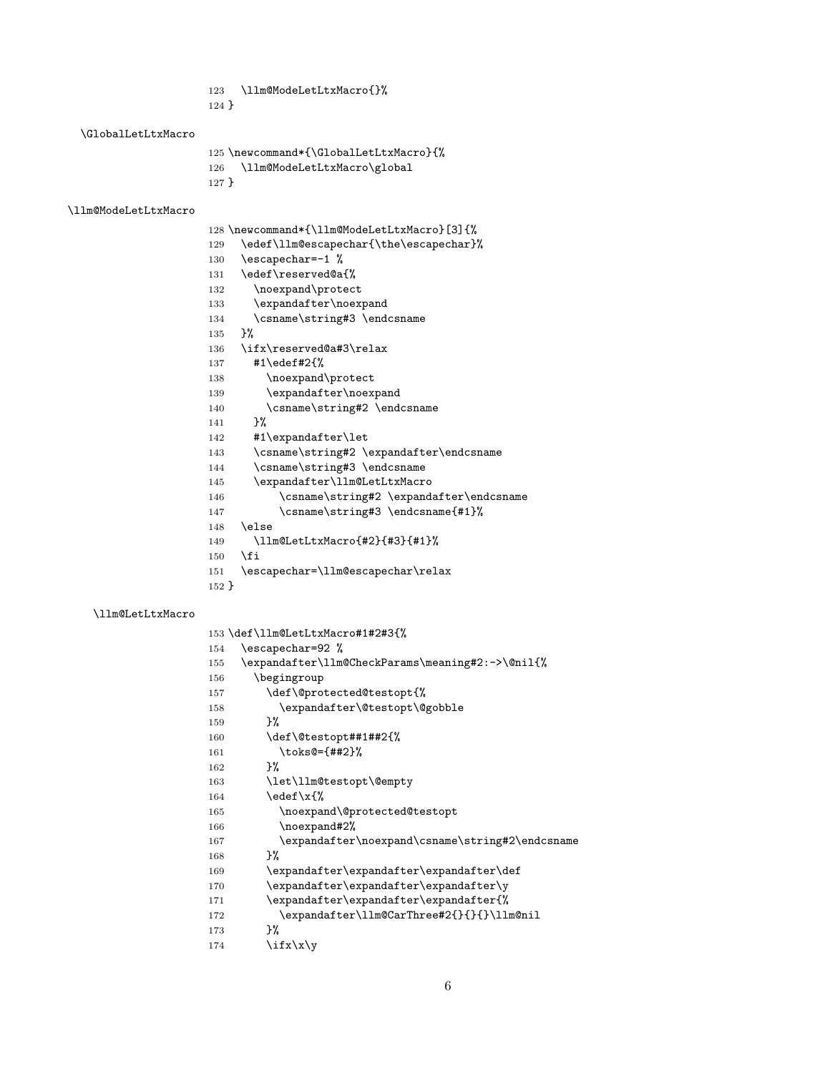- <span id="page-5-24"></span>\llm@ModeLetLtxMacro{}%
- }

<span id="page-5-17"></span>\GlobalLetLtxMacro

```
125 \newcommand*{\GlobalLetLtxMacro}{%
126 \llm@ModeLetLtxMacro\global
```
<span id="page-5-25"></span>}

#### <span id="page-5-26"></span>\llm@ModeLetLtxMacro

<span id="page-5-31"></span><span id="page-5-30"></span><span id="page-5-29"></span><span id="page-5-28"></span><span id="page-5-18"></span><span id="page-5-14"></span><span id="page-5-13"></span><span id="page-5-7"></span><span id="page-5-6"></span>

|          | 128 \newcommand*{\llm@ModeLetLtxMacro}[3]{% |
|----------|---------------------------------------------|
| 129      | \edef\llm@escapechar{\the\escapechar}%      |
| 130      | \escapechar=-1 %                            |
| 131      | \edef\reserved@a{%                          |
| 132      | \noexpand\protect                           |
| 133      | \expandafter\noexpand                       |
| 134      | \csname\string#3 \endcsname                 |
| 135      | ጉ%                                          |
| 136      | \ifx\reserved@a#3\relax                     |
| 137      | #1\edef#2{%                                 |
| 138      | \noexpand\protect                           |
| 139      | \expandafter\noexpand                       |
| 140      | \csname\string#2 \endcsname                 |
| 141      | ጉ%                                          |
| 142      | #1\expandafter\let                          |
| 143      | \csname\string#2 \expandafter\endcsname     |
| 144      | \csname\string#3 \endcsname                 |
| 145      | \expandafter\llm@LetLtxMacro                |
| 146      | \csname\string#2 \expandafter\endcsname     |
| 147      | \csname\string#3 \endcsname{#1}%            |
| 148      | \else                                       |
| 149      | \llm@LetLtxMacro{#2}{#3}{#1}%               |
| 150      | \fi                                         |
| 151      | \escapechar=\llm@escapechar\relax           |
| $152 \}$ |                                             |

### <span id="page-5-23"></span>\llm@LetLtxMacro

<span id="page-5-34"></span><span id="page-5-33"></span><span id="page-5-32"></span><span id="page-5-22"></span><span id="page-5-21"></span><span id="page-5-20"></span><span id="page-5-19"></span><span id="page-5-16"></span><span id="page-5-15"></span><span id="page-5-12"></span><span id="page-5-11"></span><span id="page-5-10"></span><span id="page-5-9"></span><span id="page-5-8"></span><span id="page-5-5"></span><span id="page-5-4"></span><span id="page-5-3"></span><span id="page-5-2"></span><span id="page-5-1"></span><span id="page-5-0"></span>

|     | 153 \def\llm@LetLtxMacro#1#2#3{%                 |
|-----|--------------------------------------------------|
| 154 | \escapechar=92 %                                 |
| 155 | \expandafter\llm@CheckParams\meaning#2:->\@nil{% |
| 156 | \begingroup                                      |
| 157 | \def\@protected@testopt{%                        |
| 158 | \expandafter\@testopt\@gobble                    |
| 159 | ጉ%                                               |
| 160 | \def\@testopt##1##2{%                            |
| 161 | $\text{toks@=\{##2\}\text{.}$                    |
| 162 | ጉ%                                               |
| 163 | \let\llm@testopt\@empty                          |
| 164 | \edef\x{%                                        |
| 165 | \noexpand\@protected@testopt                     |
| 166 | \noexpand#2%                                     |
| 167 | \expandafter\noexpand\csname\string#2\endcsname  |
| 168 | ጉ%                                               |
| 169 | \expandafter\expandafter\expandafter\def         |
| 170 | \expandafter\expandafter\expandafter\y           |
| 171 | \expandafter\expandafter\expandafter{%           |
| 172 | \expandafter\llm@CarThree#2{}{}{}\llm@nil        |
| 173 | ጉ%                                               |
| 174 | $\i$ fx $\x\y$                                   |
|     |                                                  |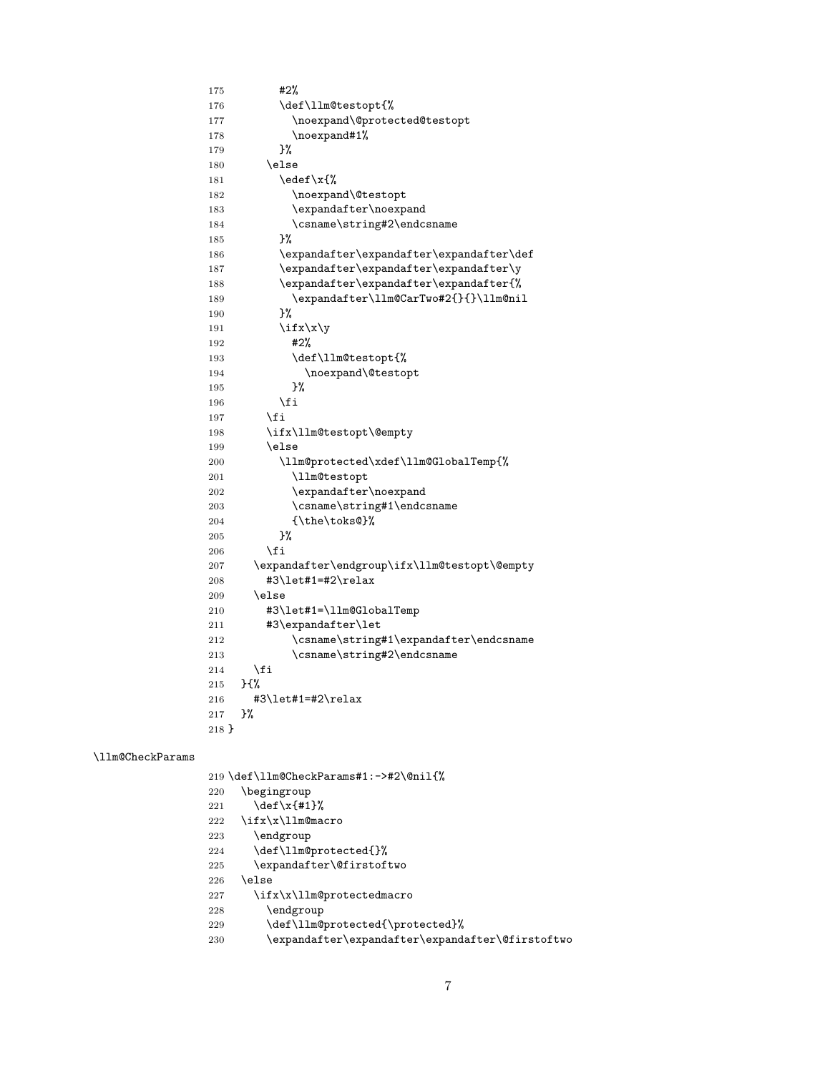<span id="page-6-27"></span><span id="page-6-25"></span><span id="page-6-22"></span><span id="page-6-21"></span><span id="page-6-15"></span><span id="page-6-12"></span><span id="page-6-8"></span><span id="page-6-7"></span><span id="page-6-6"></span><span id="page-6-5"></span>

| 175   | #2%                                          |
|-------|----------------------------------------------|
| 176   | \def\llm@testopt{%                           |
| 177   | \noexpand\@protected@testopt                 |
| 178   | \noexpand#1%                                 |
| 179   | }%                                           |
| 180   | \else                                        |
| 181   | \edef\x{%                                    |
| 182   | \noexpand\@testopt                           |
| 183   | \expandafter\noexpand                        |
| 184   | \csname\string#2\endcsname                   |
| 185   | }%                                           |
| 186   | \expandafter\expandafter\expandafter\def     |
| 187   | \expandafter\expandafter\expandafter\y       |
| 188   | \expandafter\expandafter\expandafter{%       |
| 189   | \expandafter\llm@CarTwo#2{}{}\llm@nil        |
| 190   | }‰                                           |
| 191   | $\i$ fx $\x\y$                               |
| 192   | #2%                                          |
| 193   | \def\llm@testopt{%                           |
| 194   | \noexpand\@testopt                           |
| 195   | }%                                           |
| 196   | \fi                                          |
| 197   | \fi                                          |
| 198   | \ifx\llm@testopt\@empty                      |
| 199   | \else                                        |
| 200   | \llm@protected\xdef\llm@GlobalTemp{%         |
| 201   | \llm@testopt                                 |
| 202   | \expandafter\noexpand                        |
| 203   | \csname\string#1\endcsname                   |
| 204   | {\the\toks@}%                                |
| 205   | ጉ%                                           |
| 206   | \fi                                          |
| 207   | \expandafter\endgroup\ifx\llm@testopt\@empty |
| 208   | #3\let#1=#2\relax                            |
| 209   | \else                                        |
| 210   | #3\let#1=\llm@GlobalTemp                     |
| 211   | #3\expandafter\let                           |
| 212   | \csname\string#1\expandafter\endcsname       |
| 213   | \csname\string#2\endcsname                   |
| 214   | \fi                                          |
| 215   | } {%                                         |
| 216   | #3\let#1=#2\relax                            |
| 217   | ጉ%                                           |
| 218 P |                                              |

### <span id="page-6-16"></span>\llm@CheckParams

<span id="page-6-26"></span><span id="page-6-24"></span><span id="page-6-23"></span><span id="page-6-20"></span><span id="page-6-19"></span><span id="page-6-18"></span><span id="page-6-17"></span><span id="page-6-14"></span><span id="page-6-13"></span><span id="page-6-11"></span><span id="page-6-10"></span><span id="page-6-9"></span><span id="page-6-4"></span><span id="page-6-3"></span><span id="page-6-2"></span><span id="page-6-1"></span><span id="page-6-0"></span>

| 219 \def\llm@CheckParams#1:->#2\@nil{%                  |
|---------------------------------------------------------|
| \begingroup<br>220                                      |
| \def\x{#1}%<br>221                                      |
| \ifx\x\llm@macro<br>222                                 |
| \endgroup<br>223                                        |
| \def\llm@protected{}%<br>224                            |
| \expandafter\@firstoftwo<br>225                         |
| \else<br>226                                            |
| \ifx\x\llm@protectedmacro<br>227                        |
| \endgroup<br>228                                        |
| \def\llm@protected{\protected}%<br>229                  |
| \expandafter\expandafter\expandafter\@firstoftwo<br>230 |
|                                                         |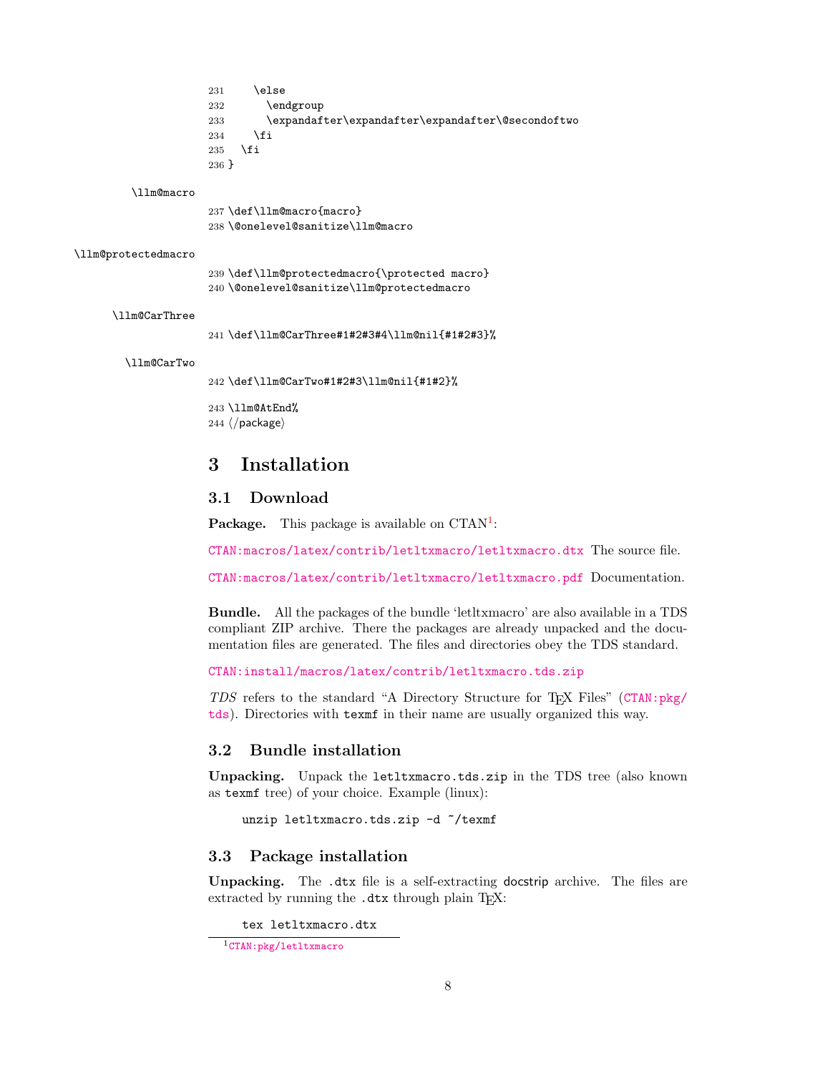- <span id="page-7-7"></span> $231$  \else 232 \endgroup 233 \expandafter\expandafter\expandafter\@secondoftwo 234  $\overrightarrow{fi}$ 235 \fi
- 236 }

#### <span id="page-7-11"></span>\llm@macro

<span id="page-7-5"></span>237 \def\llm@macro{macro} 238 \@onelevel@sanitize\llm@macro

#### <span id="page-7-14"></span>\llm@protectedmacro

<span id="page-7-15"></span><span id="page-7-6"></span>239 \def\llm@protectedmacro{\protected macro} 240 \@onelevel@sanitize\llm@protectedmacro

#### <span id="page-7-9"></span>\llm@CarThree

<span id="page-7-12"></span>241 \def\llm@CarThree#1#2#3#4\llm@nil{#1#2#3}%

#### <span id="page-7-10"></span>\llm@CarTwo

<span id="page-7-13"></span>242 \def\llm@CarTwo#1#2#3\llm@nil{#1#2}%

<span id="page-7-8"></span>243 \llm@AtEnd%

 $244 \langle$ /package)

# <span id="page-7-0"></span>3 Installation

# <span id="page-7-1"></span>3.1 Download

**Package.** This package is available on  $CTAN^1$  $CTAN^1$ :

[CTAN:macros/latex/contrib/letltxmacro/letltxmacro.dtx](https://ctan.org/tex-archive/macros/latex/contrib/letltxmacro/letltxmacro.dtx) The source file.

[CTAN:macros/latex/contrib/letltxmacro/letltxmacro.pdf](https://ctan.org/tex-archive/macros/latex/contrib/letltxmacro/letltxmacro.pdf) Documentation.

Bundle. All the packages of the bundle 'letltxmacro' are also available in a TDS compliant ZIP archive. There the packages are already unpacked and the documentation files are generated. The files and directories obey the TDS standard.

[CTAN:install/macros/latex/contrib/letltxmacro.tds.zip](http://mirrors.ctan.org/install/macros/latex/contrib/letltxmacro.tds.zip)

TDS refers to the standard "A Directory Structure for TEX Files" ([CTAN:pkg/](http://ctan.org/pkg/tds) [tds](http://ctan.org/pkg/tds)). Directories with texmf in their name are usually organized this way.

### <span id="page-7-2"></span>3.2 Bundle installation

Unpacking. Unpack the letltxmacro.tds.zip in the TDS tree (also known as texmf tree) of your choice. Example (linux):

unzip letltxmacro.tds.zip -d ~/texmf

### <span id="page-7-3"></span>3.3 Package installation

Unpacking. The .dtx file is a self-extracting docstrip archive. The files are extracted by running the .dtx through plain T<sub>E</sub>X:

tex letltxmacro.dtx

<span id="page-7-4"></span><sup>1</sup>[CTAN:pkg/letltxmacro](http://ctan.org/pkg/letltxmacro)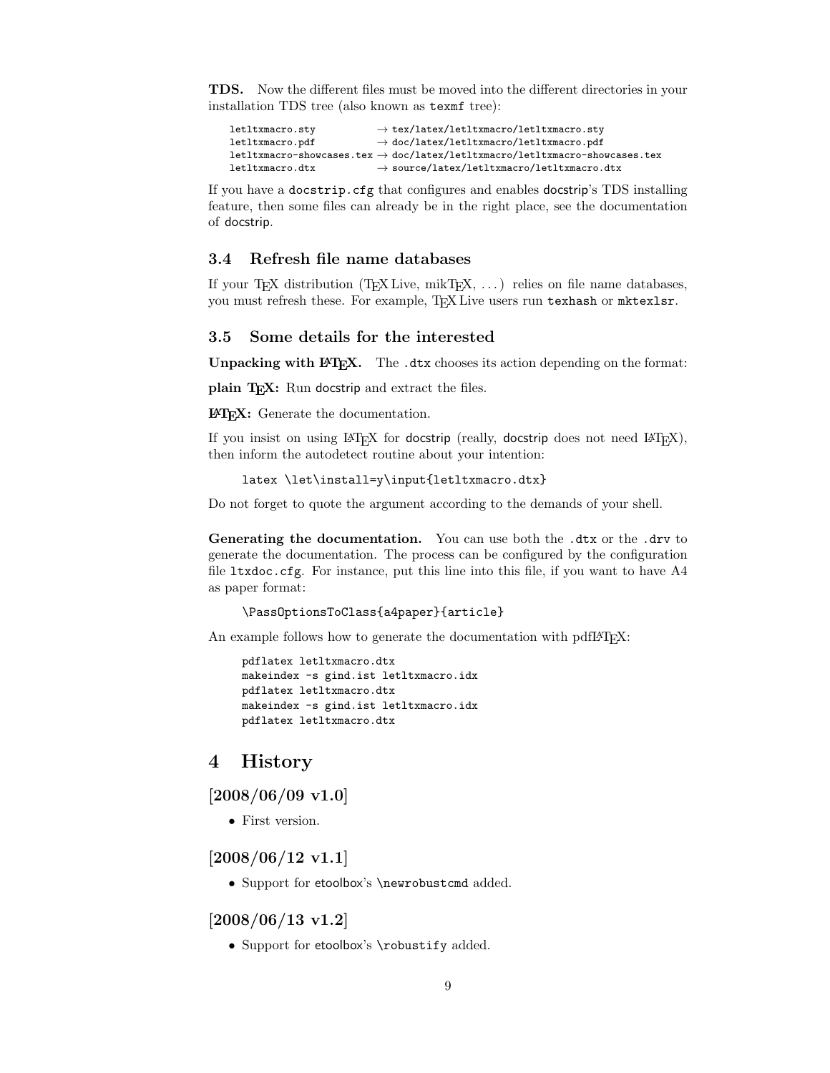TDS. Now the different files must be moved into the different directories in your installation TDS tree (also known as texmf tree):

```
letltxmacro.sty → tex/latex/letltxmacro/letltxmacro.sty
\hspace{1.5cm} \texttt{letltxmacro.pdf} \longrightarrow \texttt{doc/latex/letltxmacro/pdf}\verb|letltxmacro-showcases, \verb|tex| / \verb|letltxmacro-fshowcases, \verb|tex| / \verb|letltxmacro-fshowcases, \verb|text| / \verb|let| / \verb|tmax/| = 1 | \verb|let| / \verb|intx> | \verb|let| / \verb|intx> | \verb|let| / \verb|intx> | \verb|let| / \verb|intx> | \verb|let| / \verb|intx> | \verb|let| / \verb|intx> | \verb|intx> | \verb|intx> | \verb|intx> | \verb|intx> | \verb|intx> | \verb|intx> | \verb|intx> | \verb|intx> | \verb|intx> | \verb|intx> | \verb|int\hspace{1.5cm} \texttt{letltxmacro.dat} \longrightarrow \texttt{source/latex/letltxmacro/letltxmacro.dat}
```
If you have a docstrip.cfg that configures and enables docstrip's TDS installing feature, then some files can already be in the right place, see the documentation of docstrip.

### <span id="page-8-0"></span>3.4 Refresh file name databases

If your T<sub>EX</sub> distribution (T<sub>EX</sub> Live,  $mikT<sub>EX</sub>, \ldots$ ) relies on file name databases, you must refresh these. For example, TFX Live users run texhash or mktexlsr.

### <span id="page-8-1"></span>3.5 Some details for the interested

Unpacking with LAT<sub>E</sub>X. The .dtx chooses its action depending on the format:

plain T<sub>E</sub>X: Run docstrip and extract the files.

LATEX: Generate the documentation.

If you insist on using  $L^2T_FX$  for docstrip (really, docstrip does not need  $L^2T_FX$ ), then inform the autodetect routine about your intention:

```
latex \let\install=y\input{letltxmacro.dtx}
```
Do not forget to quote the argument according to the demands of your shell.

Generating the documentation. You can use both the .dtx or the .drv to generate the documentation. The process can be configured by the configuration file  $l$ txdoc.cfg. For instance, put this line into this file, if you want to have  $A4$ as paper format:

```
\PassOptionsToClass{a4paper}{article}
```
An example follows how to generate the documentation with pdfI $\Delta T$ <sub>F</sub>X:

```
pdflatex letltxmacro.dtx
makeindex -s gind.ist letltxmacro.idx
pdflatex letltxmacro.dtx
makeindex -s gind.ist letltxmacro.idx
pdflatex letltxmacro.dtx
```
# <span id="page-8-2"></span>4 History

<span id="page-8-3"></span> $[2008/06/09 \text{ v}1.0]$ 

• First version.

### <span id="page-8-4"></span> $[2008/06/12 \text{ v}1.1]$

• Support for etoolbox's \newrobustcmd added.

<span id="page-8-5"></span>[2008/06/13 v1.2]

• Support for etoolbox's \robustify added.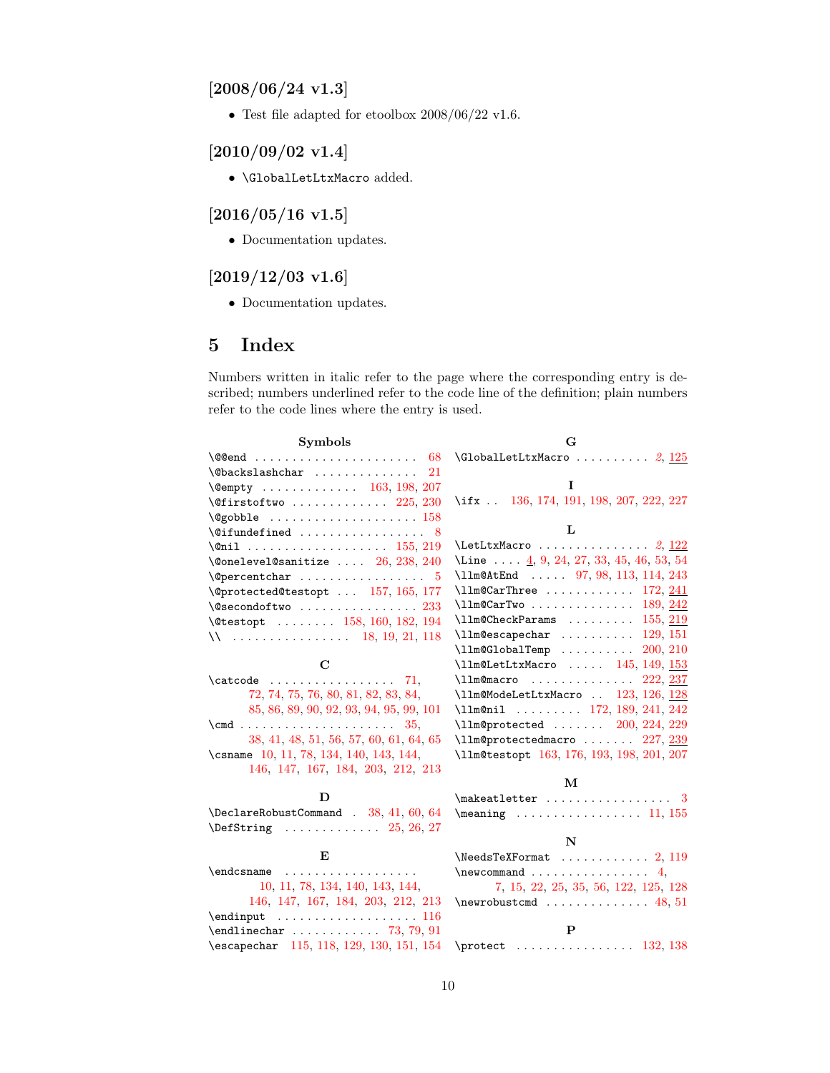# <span id="page-9-0"></span> $[2008/06/24 \text{ v}1.3]$

• Test file adapted for etoolbox  $2008/06/22$  v1.6.

# <span id="page-9-1"></span> $[2010/09/02 \text{ v}1.4]$

 $\bullet$  **\GlobalLetLtxMacro** added.

# <span id="page-9-2"></span> $[2016/05/16 \text{ v}1.5]$

• Documentation updates.

# <span id="page-9-3"></span> $[2019/12/03 \text{ v}1.6]$

• Documentation updates.

# <span id="page-9-4"></span>5 Index

Numbers written in italic refer to the page where the corresponding entry is described; numbers underlined refer to the code line of the definition; plain numbers refer to the code lines where the entry is used.

| <b>Symbols</b>                                               | G                                                                                                                                                                                                                                                                                                                                      |
|--------------------------------------------------------------|----------------------------------------------------------------------------------------------------------------------------------------------------------------------------------------------------------------------------------------------------------------------------------------------------------------------------------------|
|                                                              | $\Gamma$ . (GlobalLetLtxMacro  2, 125                                                                                                                                                                                                                                                                                                  |
| \@backslashchar<br>21                                        |                                                                                                                                                                                                                                                                                                                                        |
| \@empty  163, 198, 207                                       | L                                                                                                                                                                                                                                                                                                                                      |
| $\sqrt{9}$ firstoftwo  225, 230                              | \ifx . 136, 174, 191, 198, 207, 222, 227                                                                                                                                                                                                                                                                                               |
|                                                              |                                                                                                                                                                                                                                                                                                                                        |
| $\setminus$ Cifundefined  8                                  | L                                                                                                                                                                                                                                                                                                                                      |
|                                                              |                                                                                                                                                                                                                                                                                                                                        |
| $\label{thm:nonlocal} \texttt{\texttt{{\char'134}38, 240}}$  | \Line $\ldots$ 4, 9, 24, 27, 33, 45, 46, 53, 54                                                                                                                                                                                                                                                                                        |
| $\text{Vepercentchar} \dots \dots \dots \dots \dots \quad 5$ | \11m@AtEnd  97, 98, 113, 114, 243                                                                                                                                                                                                                                                                                                      |
| \@protected@testopt  157, 165, 177                           | $\lceil \text{11m@CarThree    172, 241} \rceil$                                                                                                                                                                                                                                                                                        |
| $\text{Qsecondoftwo}$ $233$                                  | $\lceil \frac{242}{ } \rceil$                                                                                                                                                                                                                                                                                                          |
| \@testopt  158, 160, 182, 194                                | $\lceil \text{llm@CheckParams} \rceil$ $155, 219$                                                                                                                                                                                                                                                                                      |
|                                                              | $\lceil \frac{11}{29}, 151 \rceil$                                                                                                                                                                                                                                                                                                     |
|                                                              | $\lceil \text{lm@GlobalTemp} \rceil$ $200, 210$                                                                                                                                                                                                                                                                                        |
| С                                                            | $\lceil \text{11m@LetLtxMaccro} \rceil$ 145, 149, 153                                                                                                                                                                                                                                                                                  |
| $\text{Catcode} \dots \dots \dots \dots \quad \text{71},$    | $\lceil$ 11m@macro  222, 237                                                                                                                                                                                                                                                                                                           |
| 72, 74, 75, 76, 80, 81, 82, 83, 84,                          | \llm@ModeLetLtxMacro  123, 126, 128                                                                                                                                                                                                                                                                                                    |
| 85, 86, 89, 90, 92, 93, 94, 95, 99, 101                      | \llm@nil  172, 189, 241, 242                                                                                                                                                                                                                                                                                                           |
|                                                              | \llm@protected  200, 224, 229                                                                                                                                                                                                                                                                                                          |
| 38, 41, 48, 51, 56, 57, 60, 61, 64, 65                       | \llm@protectedmacro  227, 239                                                                                                                                                                                                                                                                                                          |
| \csname 10, 11, 78, 134, 140, 143, 144,                      | \llm@testopt 163, 176, 193, 198, 201, 207                                                                                                                                                                                                                                                                                              |
| 146, 147, 167, 184, 203, 212, 213                            |                                                                                                                                                                                                                                                                                                                                        |
|                                                              | M                                                                                                                                                                                                                                                                                                                                      |
| D                                                            | $\mathcal{S}$                                                                                                                                                                                                                                                                                                                          |
| \DeclareRobustCommand . 38, 41, 60, 64                       | $\text{Meaning}$ 11, 155                                                                                                                                                                                                                                                                                                               |
| $\Delta$ 25, 26, 27                                          |                                                                                                                                                                                                                                                                                                                                        |
|                                                              | N                                                                                                                                                                                                                                                                                                                                      |
| E                                                            | $\text{NeedsTeXFormat} \dots \dots \dots \dots \ 2, 119$                                                                                                                                                                                                                                                                               |
|                                                              | $\neq$ $\{$ $\ldots$ $\ldots$ $\ldots$ $\ldots$ $\ldots$ $\ldots$ $\ldots$ $\ldots$ $\ldots$ $\ldots$ $\ldots$ $\ldots$ $\ldots$ $\ldots$ $\ldots$ $\ldots$ $\ldots$ $\ldots$ $\ldots$ $\ldots$ $\ldots$ $\ldots$ $\ldots$ $\ldots$ $\ldots$ $\ldots$ $\ldots$ $\ldots$ $\ldots$ $\ldots$ $\ldots$ $\ldots$ $\ldots$ $\ldots$ $\ldots$ |
| 10, 11, 78, 134, 140, 143, 144,                              | 7, 15, 22, 25, 35, 56, 122, 125, 128                                                                                                                                                                                                                                                                                                   |
| 146, 147, 167, 184, 203, 212, 213                            | $\neq$ $48,51$                                                                                                                                                                                                                                                                                                                         |
| $\end{$<br>$\end{line}$ char  73, 79, 91                     | P                                                                                                                                                                                                                                                                                                                                      |
|                                                              |                                                                                                                                                                                                                                                                                                                                        |
| \escapechar 115, 118, 129, 130, 151, 154                     |                                                                                                                                                                                                                                                                                                                                        |
|                                                              |                                                                                                                                                                                                                                                                                                                                        |